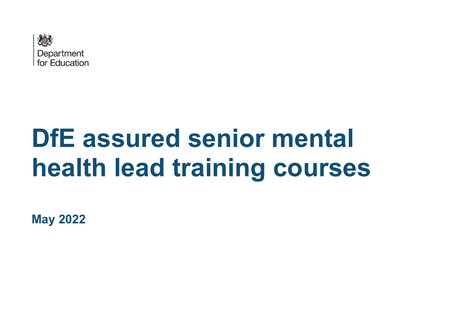

## **DfE assured senior mental health lead training courses**

**May 2022**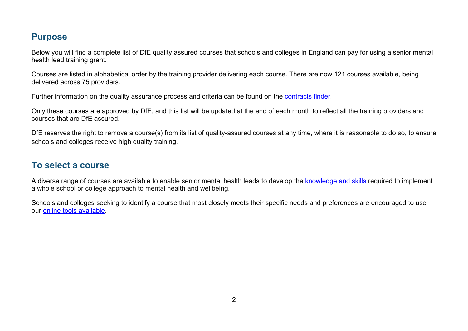## **Purpose**

Below you will find a complete list of DfE quality assured courses that schools and colleges in England can pay for using a senior mental health lead training grant.

Courses are listed in alphabetical order by the training provider delivering each course. There are now 121 courses available, being delivered across 75 providers.

Further information on the quality assurance process and criteria can be found on the [contracts finder](https://www.contractsfinder.service.gov.uk/Notice/fed4d328-7879-4bc2-8727-63ef178b7503).

Only these courses are approved by DfE, and this list will be updated at the end of each month to reflect all the training providers and courses that are DfE assured.

DfE reserves the right to remove a course(s) from its list of quality-assured courses at any time, where it is reasonable to do so, to ensure schools and colleges receive high quality training.

## **To select a course**

A diverse range of courses are available to enable senior mental health leads to develop the [knowledge](https://assets.publishing.service.gov.uk/government/uploads/system/uploads/attachment_data/file/995681/Learning_outcomes_for_senior_mental_health_leads_in_schools_and_colleges.pdf) and skills required to implement a whole school or college approach to mental health and wellbeing.

Schools and colleges seeking to identify a course that most closely meets their specific needs and preferences are encouraged to use our [online tools available.](https://www.leedsbeckett.ac.uk/smhl)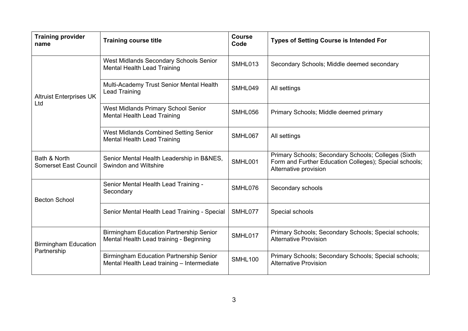| <b>Training provider</b><br>name             | <b>Training course title</b>                                                                 | <b>Course</b><br>Code | <b>Types of Setting Course is Intended For</b>                                                                                         |
|----------------------------------------------|----------------------------------------------------------------------------------------------|-----------------------|----------------------------------------------------------------------------------------------------------------------------------------|
|                                              | West Midlands Secondary Schools Senior<br><b>Mental Health Lead Training</b>                 | SMHL013               | Secondary Schools; Middle deemed secondary                                                                                             |
| <b>Altruist Enterprises UK</b>               | Multi-Academy Trust Senior Mental Health<br><b>Lead Training</b>                             | SMHL049               | All settings                                                                                                                           |
| Ltd                                          | West Midlands Primary School Senior<br><b>Mental Health Lead Training</b>                    | SMHL056               | Primary Schools; Middle deemed primary                                                                                                 |
|                                              | West Midlands Combined Setting Senior<br><b>Mental Health Lead Training</b>                  | SMHL067               | All settings                                                                                                                           |
| Bath & North<br><b>Somerset East Council</b> | Senior Mental Health Leadership in B&NES,<br>Swindon and Wiltshire                           | SMHL001               | Primary Schools; Secondary Schools; Colleges (Sixth<br>Form and Further Education Colleges); Special schools;<br>Alternative provision |
| <b>Becton School</b>                         | Senior Mental Health Lead Training -<br>Secondary                                            | SMHL076               | Secondary schools                                                                                                                      |
|                                              | Senior Mental Health Lead Training - Special                                                 | SMHL077               | Special schools                                                                                                                        |
| <b>Birmingham Education</b><br>Partnership   | <b>Birmingham Education Partnership Senior</b><br>Mental Health Lead training - Beginning    | SMHL017               | Primary Schools; Secondary Schools; Special schools;<br><b>Alternative Provision</b>                                                   |
|                                              | <b>Birmingham Education Partnership Senior</b><br>Mental Health Lead training - Intermediate | <b>SMHL100</b>        | Primary Schools; Secondary Schools; Special schools;<br><b>Alternative Provision</b>                                                   |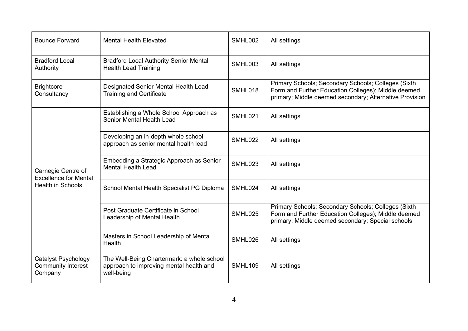| <b>Bounce Forward</b>                                                          | <b>Mental Health Elevated</b>                                                                       | SMHL002        | All settings                                                                                                                                                          |
|--------------------------------------------------------------------------------|-----------------------------------------------------------------------------------------------------|----------------|-----------------------------------------------------------------------------------------------------------------------------------------------------------------------|
| <b>Bradford Local</b><br>Authority                                             | <b>Bradford Local Authority Senior Mental</b><br><b>Health Lead Training</b>                        | SMHL003        | All settings                                                                                                                                                          |
| <b>Brightcore</b><br>Consultancy                                               | Designated Senior Mental Health Lead<br><b>Training and Certificate</b>                             | SMHL018        | Primary Schools; Secondary Schools; Colleges (Sixth<br>Form and Further Education Colleges); Middle deemed<br>primary; Middle deemed secondary; Alternative Provision |
| Carnegie Centre of<br><b>Excellence for Mental</b><br><b>Health in Schools</b> | Establishing a Whole School Approach as<br>Senior Mental Health Lead                                | SMHL021        | All settings                                                                                                                                                          |
|                                                                                | Developing an in-depth whole school<br>approach as senior mental health lead                        | SMHL022        | All settings                                                                                                                                                          |
|                                                                                | Embedding a Strategic Approach as Senior<br><b>Mental Health Lead</b>                               | SMHL023        | All settings                                                                                                                                                          |
|                                                                                | School Mental Health Specialist PG Diploma                                                          | SMHL024        | All settings                                                                                                                                                          |
|                                                                                | Post Graduate Certificate in School<br>Leadership of Mental Health                                  | SMHL025        | Primary Schools; Secondary Schools; Colleges (Sixth<br>Form and Further Education Colleges); Middle deemed<br>primary; Middle deemed secondary; Special schools       |
|                                                                                | Masters in School Leadership of Mental<br>Health                                                    | SMHL026        | All settings                                                                                                                                                          |
| <b>Catalyst Psychology</b><br><b>Community Interest</b><br>Company             | The Well-Being Chartermark: a whole school<br>approach to improving mental health and<br>well-being | <b>SMHL109</b> | All settings                                                                                                                                                          |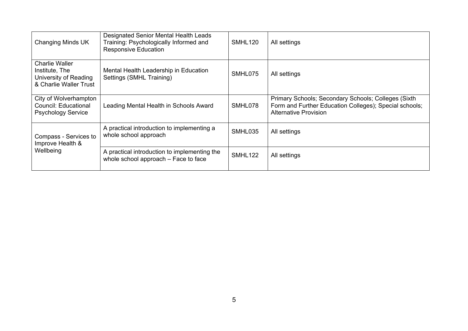| Changing Minds UK                                                                          | Designated Senior Mental Health Leads<br>Training: Psychologically Informed and<br><b>Responsive Education</b> | SMHL <sub>120</sub> | All settings                                                                                                                           |
|--------------------------------------------------------------------------------------------|----------------------------------------------------------------------------------------------------------------|---------------------|----------------------------------------------------------------------------------------------------------------------------------------|
| <b>Charlie Waller</b><br>Institute, The<br>University of Reading<br>& Charlie Waller Trust | Mental Health Leadership in Education<br>Settings (SMHL Training)                                              | SMHL075             | All settings                                                                                                                           |
| City of Wolverhampton<br><b>Council: Educational</b><br><b>Psychology Service</b>          | Leading Mental Health in Schools Award                                                                         | SMHL078             | Primary Schools; Secondary Schools; Colleges (Sixth<br>Form and Further Education Colleges); Special schools;<br>Alternative Provision |
| Compass - Services to<br>Improve Health &<br>Wellbeing                                     | A practical introduction to implementing a<br>whole school approach                                            | SMHL035             | All settings                                                                                                                           |
|                                                                                            | A practical introduction to implementing the<br>whole school approach - Face to face                           | SMHL122             | All settings                                                                                                                           |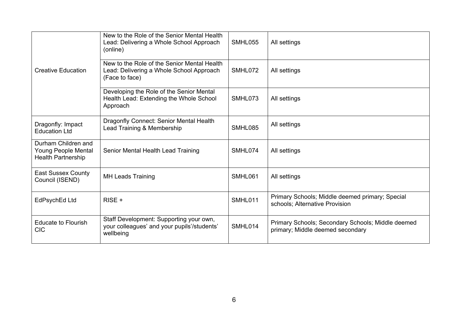|                                                                                | New to the Role of the Senior Mental Health<br>Lead: Delivering a Whole School Approach<br>(online)       | SMHL055 | All settings                                                                          |
|--------------------------------------------------------------------------------|-----------------------------------------------------------------------------------------------------------|---------|---------------------------------------------------------------------------------------|
| <b>Creative Education</b>                                                      | New to the Role of the Senior Mental Health<br>Lead: Delivering a Whole School Approach<br>(Face to face) | SMHL072 | All settings                                                                          |
|                                                                                | Developing the Role of the Senior Mental<br>Health Lead: Extending the Whole School<br>Approach           | SMHL073 | All settings                                                                          |
| Dragonfly: Impact<br><b>Education Ltd</b>                                      | Dragonfly Connect: Senior Mental Health<br>Lead Training & Membership                                     | SMHL085 | All settings                                                                          |
| Durham Children and<br><b>Young People Mental</b><br><b>Health Partnership</b> | Senior Mental Health Lead Training                                                                        | SMHL074 | All settings                                                                          |
| <b>East Sussex County</b><br>Council (ISEND)                                   | <b>MH Leads Training</b>                                                                                  | SMHL061 | All settings                                                                          |
| EdPsychEd Ltd                                                                  | $RISE +$                                                                                                  | SMHL011 | Primary Schools; Middle deemed primary; Special<br>schools; Alternative Provision     |
| <b>Educate to Flourish</b><br><b>CIC</b>                                       | Staff Development: Supporting your own,<br>your colleagues' and your pupils'/students'<br>wellbeing       | SMHL014 | Primary Schools; Secondary Schools; Middle deemed<br>primary; Middle deemed secondary |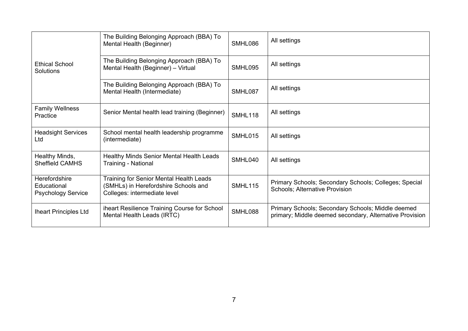|                                                           | The Building Belonging Approach (BBA) To<br>Mental Health (Beginner)                                                   | SMHL086        | All settings                                                                                                 |
|-----------------------------------------------------------|------------------------------------------------------------------------------------------------------------------------|----------------|--------------------------------------------------------------------------------------------------------------|
| <b>Ethical School</b><br>Solutions                        | The Building Belonging Approach (BBA) To<br>Mental Health (Beginner) - Virtual                                         | SMHL095        | All settings                                                                                                 |
|                                                           | The Building Belonging Approach (BBA) To<br>Mental Health (Intermediate)                                               | SMHL087        | All settings                                                                                                 |
| <b>Family Wellness</b><br>Practice                        | Senior Mental health lead training (Beginner)                                                                          | <b>SMHL118</b> | All settings                                                                                                 |
| <b>Headsight Services</b><br>Ltd                          | School mental health leadership programme<br>(intermediate)                                                            | SMHL015        | All settings                                                                                                 |
| Healthy Minds,<br><b>Sheffield CAMHS</b>                  | <b>Healthy Minds Senior Mental Health Leads</b><br><b>Training - National</b>                                          | SMHL040        | All settings                                                                                                 |
| Herefordshire<br>Educational<br><b>Psychology Service</b> | <b>Training for Senior Mental Health Leads</b><br>(SMHLs) in Herefordshire Schools and<br>Colleges: intermediate level | SMHL115        | Primary Schools; Secondary Schools; Colleges; Special<br>Schools; Alternative Provision                      |
| <b>Iheart Principles Ltd</b>                              | iheart Resilience Training Course for School<br>Mental Health Leads (IRTC)                                             | SMHL088        | Primary Schools; Secondary Schools; Middle deemed<br>primary; Middle deemed secondary, Alternative Provision |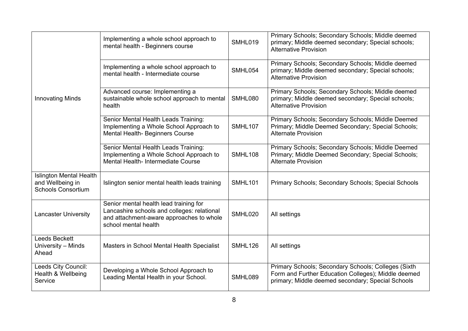|                                                                                 | Implementing a whole school approach to<br>mental health - Beginners course                                                                               | SMHL019        | Primary Schools; Secondary Schools; Middle deemed<br>primary; Middle deemed secondary; Special schools;<br><b>Alternative Provision</b>                         |
|---------------------------------------------------------------------------------|-----------------------------------------------------------------------------------------------------------------------------------------------------------|----------------|-----------------------------------------------------------------------------------------------------------------------------------------------------------------|
|                                                                                 | Implementing a whole school approach to<br>mental health - Intermediate course                                                                            | SMHL054        | Primary Schools; Secondary Schools; Middle deemed<br>primary; Middle deemed secondary; Special schools;<br><b>Alternative Provision</b>                         |
| <b>Innovating Minds</b>                                                         | Advanced course: Implementing a<br>sustainable whole school approach to mental<br>health                                                                  | SMHL080        | Primary Schools; Secondary Schools; Middle deemed<br>primary; Middle deemed secondary; Special schools;<br><b>Alternative Provision</b>                         |
|                                                                                 | Senior Mental Health Leads Training:<br>Implementing a Whole School Approach to<br>Mental Health- Beginners Course                                        | <b>SMHL107</b> | Primary Schools; Secondary Schools; Middle Deemed<br>Primary; Middle Deemed Secondary; Special Schools;<br><b>Alternate Provision</b>                           |
|                                                                                 | Senior Mental Health Leads Training:<br>Implementing a Whole School Approach to<br>Mental Health- Intermediate Course                                     | <b>SMHL108</b> | Primary Schools; Secondary Schools; Middle Deemed<br>Primary; Middle Deemed Secondary; Special Schools;<br><b>Alternate Provision</b>                           |
| <b>Islington Mental Health</b><br>and Wellbeing in<br><b>Schools Consortium</b> | Islington senior mental health leads training                                                                                                             | <b>SMHL101</b> | Primary Schools; Secondary Schools; Special Schools                                                                                                             |
| <b>Lancaster University</b>                                                     | Senior mental health lead training for<br>Lancashire schools and colleges: relational<br>and attachment-aware approaches to whole<br>school mental health | SMHL020        | All settings                                                                                                                                                    |
| Leeds Beckett<br>University - Minds<br>Ahead                                    | Masters in School Mental Health Specialist                                                                                                                | SMHL126        | All settings                                                                                                                                                    |
| Leeds City Council:<br>Health & Wellbeing<br>Service                            | Developing a Whole School Approach to<br>Leading Mental Health in your School.                                                                            | SMHL089        | Primary Schools; Secondary Schools; Colleges (Sixth<br>Form and Further Education Colleges); Middle deemed<br>primary; Middle deemed secondary; Special Schools |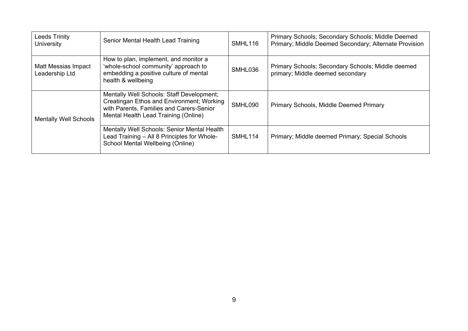| <b>Leeds Trinity</b><br><b>University</b> | Senior Mental Health Lead Training                                                                                                                                         | SMHL116 | Primary Schools; Secondary Schools; Middle Deemed<br>Primary; Middle Deemed Secondary; Alternate Provision |
|-------------------------------------------|----------------------------------------------------------------------------------------------------------------------------------------------------------------------------|---------|------------------------------------------------------------------------------------------------------------|
| Matt Messias Impact<br>Leadership Ltd     | How to plan, implement, and monitor a<br>'whole-school community' approach to<br>embedding a positive culture of mental<br>health & wellbeing                              | SMHL036 | Primary Schools; Secondary Schools; Middle deemed<br>primary; Middle deemed secondary                      |
| <b>Mentally Well Schools</b>              | Mentally Well Schools: Staff Development;<br>Creatingan Ethos and Environment; Working<br>with Parents, Families and Carers-Senior<br>Mental Health Lead Training (Online) | SMHL090 | Primary Schools, Middle Deemed Primary                                                                     |
|                                           | <b>Mentally Well Schools: Senior Mental Health</b><br>Lead Training - All 8 Principles for Whole-<br>School Mental Wellbeing (Online)                                      | SMHL114 | Primary; Middle deemed Primary; Special Schools                                                            |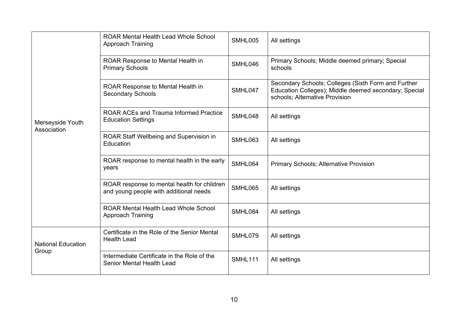|                                    | <b>ROAR Mental Health Lead Whole School</b><br>Approach Training                      | SMHL005        | All settings                                                                                                                                   |
|------------------------------------|---------------------------------------------------------------------------------------|----------------|------------------------------------------------------------------------------------------------------------------------------------------------|
|                                    | ROAR Response to Mental Health in<br><b>Primary Schools</b>                           | SMHL046        | Primary Schools; Middle deemed primary; Special<br>schools                                                                                     |
|                                    | ROAR Response to Mental Health in<br><b>Secondary Schools</b>                         | SMHL047        | Secondary Schools; Colleges (Sixth Form and Further<br>Education Colleges); Middle deemed secondary; Special<br>schools; Alternative Provision |
| Merseyside Youth<br>Association    | <b>ROAR ACEs and Trauma Informed Practice</b><br><b>Education Settings</b>            | SMHL048        | All settings                                                                                                                                   |
|                                    | ROAR Staff Wellbeing and Supervision in<br>Education                                  | SMHL063        | All settings                                                                                                                                   |
|                                    | ROAR response to mental health in the early<br>years                                  | SMHL064        | <b>Primary Schools; Alternative Provision</b>                                                                                                  |
|                                    | ROAR response to mental health for children<br>and young people with additional needs | SMHL065        | All settings                                                                                                                                   |
|                                    | <b>ROAR Mental Health Lead Whole School</b><br>Approach Training                      | SMHL084        | All settings                                                                                                                                   |
| <b>National Education</b><br>Group | Certificate in the Role of the Senior Mental<br><b>Health Lead</b>                    | SMHL079        | All settings                                                                                                                                   |
|                                    | Intermediate Certificate in the Role of the<br><b>Senior Mental Health Lead</b>       | <b>SMHL111</b> | All settings                                                                                                                                   |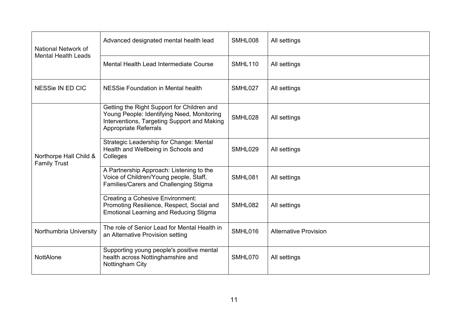| National Network of<br><b>Mental Health Leads</b> | Advanced designated mental health lead                                                                                                                                  | SMHL008        | All settings                 |
|---------------------------------------------------|-------------------------------------------------------------------------------------------------------------------------------------------------------------------------|----------------|------------------------------|
|                                                   | Mental Health Lead Intermediate Course                                                                                                                                  | <b>SMHL110</b> | All settings                 |
| NESSie IN ED CIC                                  | NESSie Foundation in Mental health                                                                                                                                      | SMHL027        | All settings                 |
| Northorpe Hall Child &<br><b>Family Trust</b>     | Getting the Right Support for Children and<br>Young People: Identifying Need, Monitoring<br>Interventions, Targeting Support and Making<br><b>Appropriate Referrals</b> | SMHL028        | All settings                 |
|                                                   | Strategic Leadership for Change: Mental<br>Health and Wellbeing in Schools and<br>Colleges                                                                              | SMHL029        | All settings                 |
|                                                   | A Partnership Approach: Listening to the<br>Voice of Children/Young people, Staff,<br>Families/Carers and Challenging Stigma                                            | SMHL081        | All settings                 |
|                                                   | <b>Creating a Cohesive Environment:</b><br>Promoting Resilience, Respect, Social and<br><b>Emotional Learning and Reducing Stigma</b>                                   | SMHL082        | All settings                 |
| Northumbria University                            | The role of Senior Lead for Mental Health in<br>an Alternative Provision setting                                                                                        | SMHL016        | <b>Alternative Provision</b> |
| NottAlone                                         | Supporting young people's positive mental<br>health across Nottinghamshire and<br>Nottingham City                                                                       | SMHL070        | All settings                 |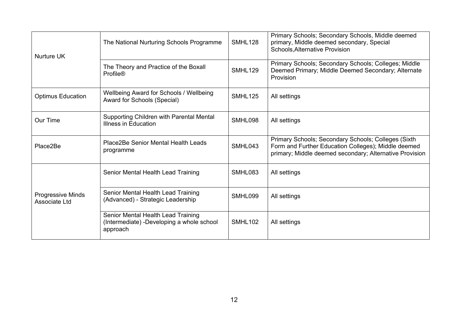| <b>Nurture UK</b>                  | The National Nurturing Schools Programme                                                    | <b>SMHL128</b> | Primary Schools; Secondary Schools, Middle deemed<br>primary, Middle deemed secondary, Special<br><b>Schools, Alternative Provision</b>                               |
|------------------------------------|---------------------------------------------------------------------------------------------|----------------|-----------------------------------------------------------------------------------------------------------------------------------------------------------------------|
|                                    | The Theory and Practice of the Boxall<br><b>Profile®</b>                                    | <b>SMHL129</b> | Primary Schools; Secondary Schools; Colleges; Middle<br>Deemed Primary; Middle Deemed Secondary; Alternate<br>Provision                                               |
| <b>Optimus Education</b>           | Wellbeing Award for Schools / Wellbeing<br>Award for Schools (Special)                      | <b>SMHL125</b> | All settings                                                                                                                                                          |
| Our Time                           | Supporting Children with Parental Mental<br>Illness in Education                            | SMHL098        | All settings                                                                                                                                                          |
| Place2Be                           | Place2Be Senior Mental Health Leads<br>programme                                            | SMHL043        | Primary Schools; Secondary Schools; Colleges (Sixth<br>Form and Further Education Colleges); Middle deemed<br>primary; Middle deemed secondary; Alternative Provision |
|                                    | Senior Mental Health Lead Training                                                          | SMHL083        | All settings                                                                                                                                                          |
| Progressive Minds<br>Associate Ltd | Senior Mental Health Lead Training<br>(Advanced) - Strategic Leadership                     | SMHL099        | All settings                                                                                                                                                          |
|                                    | Senior Mental Health Lead Training<br>(Intermediate) -Developing a whole school<br>approach | SMHL102        | All settings                                                                                                                                                          |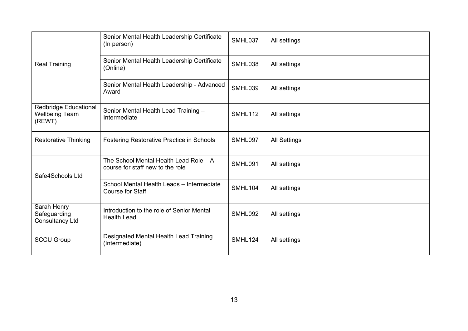|                                                                 | Senior Mental Health Leadership Certificate<br>(In person)                 | SMHL037        | All settings        |
|-----------------------------------------------------------------|----------------------------------------------------------------------------|----------------|---------------------|
| <b>Real Training</b>                                            | Senior Mental Health Leadership Certificate<br>(Online)                    | SMHL038        | All settings        |
|                                                                 | Senior Mental Health Leadership - Advanced<br>Award                        | SMHL039        | All settings        |
| <b>Redbridge Educational</b><br><b>Wellbeing Team</b><br>(REWT) | Senior Mental Health Lead Training -<br>Intermediate                       | <b>SMHL112</b> | All settings        |
| <b>Restorative Thinking</b>                                     | <b>Fostering Restorative Practice in Schools</b>                           | SMHL097        | <b>All Settings</b> |
| Safe4Schools Ltd                                                | The School Mental Health Lead Role - A<br>course for staff new to the role | SMHL091        | All settings        |
|                                                                 | School Mental Health Leads - Intermediate<br>Course for Staff              | SMHL104        | All settings        |
| Sarah Henry<br>Safeguarding<br><b>Consultancy Ltd</b>           | Introduction to the role of Senior Mental<br><b>Health Lead</b>            | SMHL092        | All settings        |
| <b>SCCU Group</b>                                               | Designated Mental Health Lead Training<br>(Intermediate)                   | <b>SMHL124</b> | All settings        |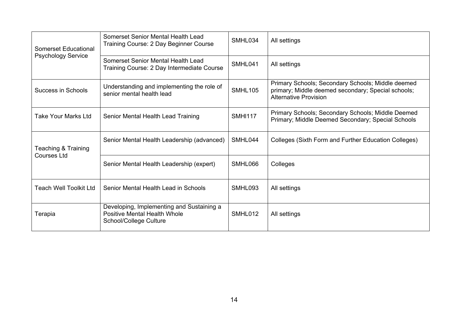| <b>Somerset Educational</b><br><b>Psychology Service</b> | Somerset Senior Mental Health Lead<br>Training Course: 2 Day Beginner Course                               | SMHL034        | All settings                                                                                                                            |
|----------------------------------------------------------|------------------------------------------------------------------------------------------------------------|----------------|-----------------------------------------------------------------------------------------------------------------------------------------|
|                                                          | Somerset Senior Mental Health Lead<br>Training Course: 2 Day Intermediate Course                           | SMHL041        | All settings                                                                                                                            |
| Success in Schools                                       | Understanding and implementing the role of<br>senior mental health lead                                    | <b>SMHL105</b> | Primary Schools; Secondary Schools; Middle deemed<br>primary; Middle deemed secondary; Special schools;<br><b>Alternative Provision</b> |
| Take Your Marks Ltd                                      | Senior Mental Health Lead Training                                                                         | <b>SMHI117</b> | Primary Schools; Secondary Schools; Middle Deemed<br>Primary; Middle Deemed Secondary; Special Schools                                  |
| Teaching & Training<br><b>Courses Ltd</b>                | Senior Mental Health Leadership (advanced)                                                                 | SMHL044        | Colleges (Sixth Form and Further Education Colleges)                                                                                    |
|                                                          | Senior Mental Health Leadership (expert)                                                                   | SMHL066        | Colleges                                                                                                                                |
| <b>Teach Well Toolkit Ltd</b>                            | Senior Mental Health Lead in Schools                                                                       | SMHL093        | All settings                                                                                                                            |
| Terapia                                                  | Developing, Implementing and Sustaining a<br><b>Positive Mental Health Whole</b><br>School/College Culture | SMHL012        | All settings                                                                                                                            |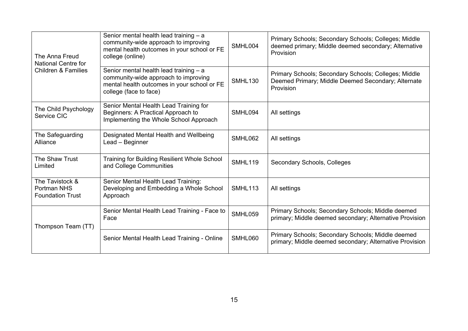| The Anna Freud<br><b>National Centre for</b><br><b>Children &amp; Families</b> | Senior mental health lead training - a<br>community-wide approach to improving<br>mental health outcomes in your school or FE<br>college (online)         | SMHL004        | Primary Schools; Secondary Schools; Colleges; Middle<br>deemed primary; Middle deemed secondary; Alternative<br>Provision |
|--------------------------------------------------------------------------------|-----------------------------------------------------------------------------------------------------------------------------------------------------------|----------------|---------------------------------------------------------------------------------------------------------------------------|
|                                                                                | Senior mental health lead training $-$ a<br>community-wide approach to improving<br>mental health outcomes in your school or FE<br>college (face to face) | <b>SMHL130</b> | Primary Schools; Secondary Schools; Colleges; Middle<br>Deemed Primary; Middle Deemed Secondary; Alternate<br>Provision   |
| The Child Psychology<br>Service CIC                                            | Senior Mental Health Lead Training for<br>Beginners: A Practical Approach to<br>Implementing the Whole School Approach                                    | SMHL094        | All settings                                                                                                              |
| The Safeguarding<br>Alliance                                                   | Designated Mental Health and Wellbeing<br>Lead - Beginner                                                                                                 | SMHL062        | All settings                                                                                                              |
| The Shaw Trust<br>Limited                                                      | <b>Training for Building Resilient Whole School</b><br>and College Communities                                                                            | <b>SMHL119</b> | Secondary Schools, Colleges                                                                                               |
| The Tavistock &<br>Portman NHS<br><b>Foundation Trust</b>                      | Senior Mental Health Lead Training:<br>Developing and Embedding a Whole School<br>Approach                                                                | <b>SMHL113</b> | All settings                                                                                                              |
| Thompson Team (TT)                                                             | Senior Mental Health Lead Training - Face to<br>Face                                                                                                      | SMHL059        | Primary Schools; Secondary Schools; Middle deemed<br>primary; Middle deemed secondary; Alternative Provision              |
|                                                                                | Senior Mental Health Lead Training - Online                                                                                                               | SMHL060        | Primary Schools; Secondary Schools; Middle deemed<br>primary; Middle deemed secondary; Alternative Provision              |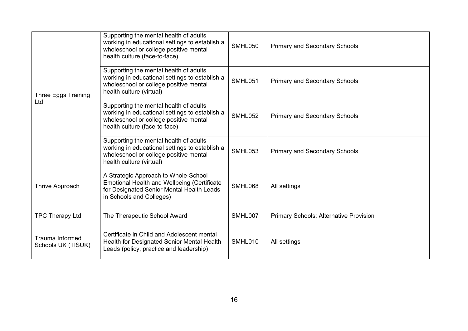| Three Eggs Training<br>Ltd                   | Supporting the mental health of adults<br>working in educational settings to establish a<br>wholeschool or college positive mental<br>health culture (face-to-face) | SMHL050 | <b>Primary and Secondary Schools</b>          |
|----------------------------------------------|---------------------------------------------------------------------------------------------------------------------------------------------------------------------|---------|-----------------------------------------------|
|                                              | Supporting the mental health of adults<br>working in educational settings to establish a<br>wholeschool or college positive mental<br>health culture (virtual)      | SMHL051 | <b>Primary and Secondary Schools</b>          |
|                                              | Supporting the mental health of adults<br>working in educational settings to establish a<br>wholeschool or college positive mental<br>health culture (face-to-face) | SMHL052 | <b>Primary and Secondary Schools</b>          |
|                                              | Supporting the mental health of adults<br>working in educational settings to establish a<br>wholeschool or college positive mental<br>health culture (virtual)      | SMHL053 | <b>Primary and Secondary Schools</b>          |
| Thrive Approach                              | A Strategic Approach to Whole-School<br><b>Emotional Health and Wellbeing (Certificate</b><br>for Designated Senior Mental Health Leads<br>in Schools and Colleges) | SMHL068 | All settings                                  |
| <b>TPC Therapy Ltd</b>                       | The Therapeutic School Award                                                                                                                                        | SMHL007 | <b>Primary Schools; Alternative Provision</b> |
| <b>Trauma Informed</b><br>Schools UK (TISUK) | Certificate in Child and Adolescent mental<br>Health for Designated Senior Mental Health<br>Leads (policy, practice and leadership)                                 | SMHL010 | All settings                                  |